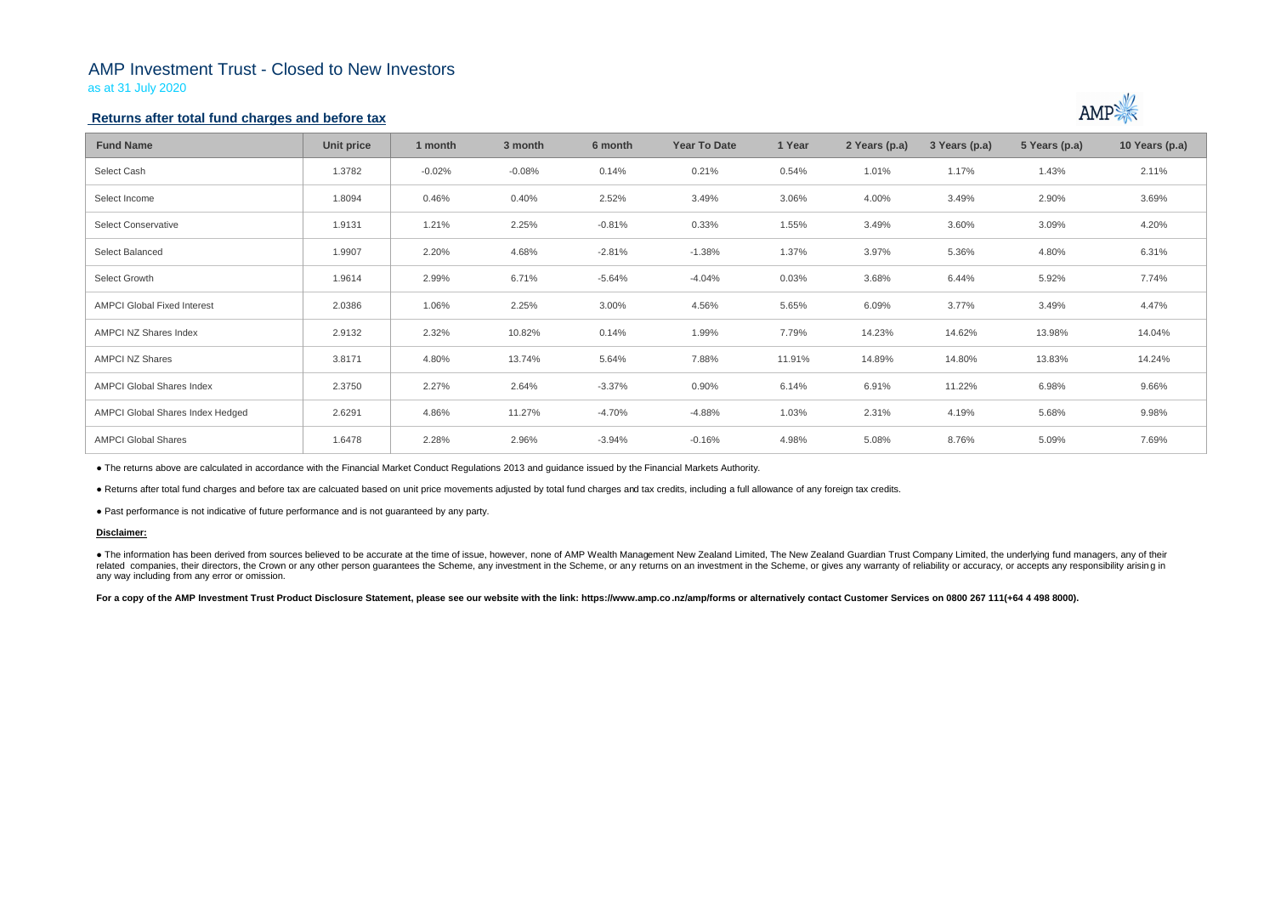# AMP Investment Trust - Closed to New Investors

as at 31 July 2020

## **Returns after total fund charges and before tax**

| <b>Fund Name</b>                   | Unit price | 1 month  | 3 month  | 6 month  | <b>Year To Date</b> | 1 Year | 2 Years (p.a) | 3 Years (p.a) | 5 Years (p.a) | 10 Years (p.a) |
|------------------------------------|------------|----------|----------|----------|---------------------|--------|---------------|---------------|---------------|----------------|
| Select Cash                        | 1.3782     | $-0.02%$ | $-0.08%$ | 0.14%    | 0.21%               | 0.54%  | 1.01%         | 1.17%         | 1.43%         | 2.11%          |
| Select Income                      | 1.8094     | 0.46%    | 0.40%    | 2.52%    | 3.49%               | 3.06%  | 4.00%         | 3.49%         | 2.90%         | 3.69%          |
| <b>Select Conservative</b>         | 1.9131     | 1.21%    | 2.25%    | $-0.81%$ | 0.33%               | 1.55%  | 3.49%         | 3.60%         | 3.09%         | 4.20%          |
| Select Balanced                    | 1.9907     | 2.20%    | 4.68%    | $-2.81%$ | $-1.38%$            | 1.37%  | 3.97%         | 5.36%         | 4.80%         | 6.31%          |
| Select Growth                      | 1.9614     | 2.99%    | 6.71%    | $-5.64%$ | $-4.04%$            | 0.03%  | 3.68%         | 6.44%         | 5.92%         | 7.74%          |
| <b>AMPCI Global Fixed Interest</b> | 2.0386     | 1.06%    | 2.25%    | 3.00%    | 4.56%               | 5.65%  | 6.09%         | 3.77%         | 3.49%         | 4.47%          |
| AMPCI NZ Shares Index              | 2.9132     | 2.32%    | 10.82%   | 0.14%    | 1.99%               | 7.79%  | 14.23%        | 14.62%        | 13.98%        | 14.04%         |
| <b>AMPCI NZ Shares</b>             | 3.8171     | 4.80%    | 13.74%   | 5.64%    | 7.88%               | 11.91% | 14.89%        | 14.80%        | 13.83%        | 14.24%         |
| <b>AMPCI Global Shares Index</b>   | 2.3750     | 2.27%    | 2.64%    | $-3.37%$ | 0.90%               | 6.14%  | 6.91%         | 11.22%        | 6.98%         | 9.66%          |
| AMPCI Global Shares Index Hedged   | 2.6291     | 4.86%    | 11.27%   | -4.70%   | $-4.88%$            | 1.03%  | 2.31%         | 4.19%         | 5.68%         | 9.98%          |
| <b>AMPCI Global Shares</b>         | 1.6478     | 2.28%    | 2.96%    | -3.94%   | $-0.16%$            | 4.98%  | 5.08%         | 8.76%         | 5.09%         | 7.69%          |

• The information has been derived from sources believed to be accurate at the time of issue, however, none of AMP Wealth Management New Zealand Limited, The New Zealand Guardian Trust Company Limited, the underlying fund related companies, their directors, the Crown or any other person quarantees the Scheme, any investment in the Scheme, or any returns on an investment in the Scheme, or gives any warranty of reliability or accuracy, or acc any way including from any error or omission.

For a copy of the AMP Investment Trust Product Disclosure Statement, please see our website with the link: https://www.amp.co.nz/amp/forms or alternatively contact Customer Services on 0800 267 111(+64 4 498 8000).



● The returns above are calculated in accordance with the Financial Market Conduct Regulations 2013 and guidance issued by the Financial Markets Authority.

● Returns after total fund charges and before tax are calcuated based on unit price movements adjusted by total fund charges and tax credits, including a full allowance of any foreign tax credits.

● Past performance is not indicative of future performance and is not guaranteed by any party.

### **Disclaimer:**